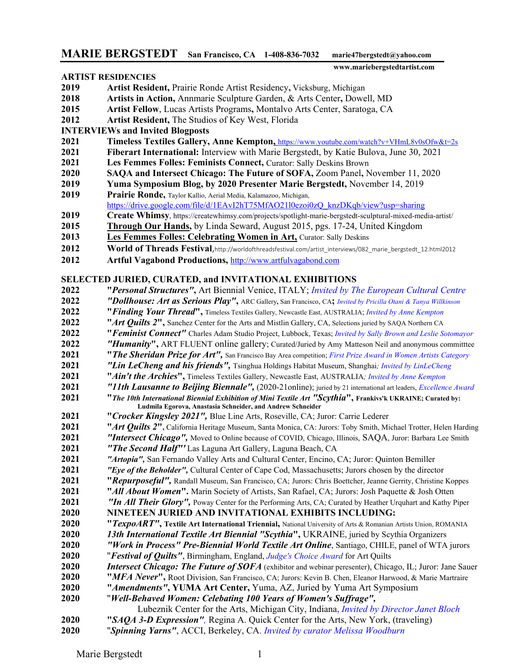## **MARIE BERGSTEDT San Francisco, CA 1-408-836-7032 marie47bergstedt@yahoo.com**

## **ARTIST RESIDENCIES**

 **www.mariebergstedtartist.com** 

- **Artist Resident,** Prairie Ronde Artist Residency**,** Vicksburg, Michigan
- **Artists in Action,** Annmarie Sculpture Garden, & Arts Center**,** Dowell, MD
- **Artist Fellow**, Lucas Artists Programs**,** Montalvo Arts Center, Saratoga, CA
- **Artist Resident,** The Studios of Key West, Florida

## **INTERVIEWs and Invited Blogposts**

- **Timeless Textiles Gallery, Anne Kempton,** https://www.youtube.com/watch?v+VHmL8v0sOfw&t=2s
- **Fiberart International:** Interview with Marie Bergstedt, by Katie Bulova, June 30, 2021
- **Les Femmes Folles: Feminists Connect,** Curator: Sally Deskins Brown
- **SAQA and Intersect Chicago: The Future of SOFA,** Zoom Panel**,** November 11, 2020
- **Yuma Symposium Blog, by 2020 Presenter Marie Bergstedt,** November 14, 2019
- **Prairie Ronde,** Taylor Kallio, Aerial Media, Kalamazoo, Michigan, [https://drive.google.com/file/d/1EAvI2hT75MfAO21l0ezoi0zQ\\_knzDKqb/view?usp=sharing](https://drive.google.com/file/d/1EAvI2hT75MfAO21l0ezoi0zQ_knzDKqb/view?usp=sharing)
- **Create Whimsy**, https://createwhimsy.com/projects/spotlight-marie-bergstedt-sculptural-mixed-media-artist/
- **Through Our Hands,** by Linda Seward, August 2015, pgs. 17-24, United Kingdom
- **Les Femmes Folles: Celebrating Women in Art, Curator: Sally Deskins**
- **World of Threads Festival**[,http://worldofthreadsfestival.com/artist\\_interviews/082\\_marie\\_bergstedt\\_12.html2](http://worldofthreadsfestival.com/artist_interviews/082_marie_bergstedt_12.html)012
- **Artful Vagabond Productions,** [http://www.artfulvagabond.com](http://www.artfulvagabond.com/)

## **SELECTED JURIED, CURATED, and INVITATIONAL EXHIBITIONS**

- **2022 "***Personal Structures"***,** Art Biennial Venice, ITALY; *Invited by The European Cultural Centre*
- *"Dollhouse: Art as Serious Play"***,** ARC Gallery**,** San Francisco, CA**;** *Invited by Pricilla Otani & Tanya Willkinson*
- **2022 "***Finding Your Thread***",** Timeless Textiles Gallery, Newcastle East, AUSTRALIA; *Invited by Anne Kempton*
- 2022 "*Art Quilts 2*", Sanchez Center for the Arts and Mistlin Gallery, CA, Selections juried by SAQA Northern CA
- **2022 "***Feminist Connect"* Charles Adam Studio Project, Lubbock, Texas; *Invited by Sally Brown and Leslie Sotomayor*
- *"Humanity***",** ART FLUENT online gallery; Curated/Juried by Amy Matteson Neil and anonymous committtee
- **2021 "***The Sheridan Prize for Art",* San Francisco Bay Area competition; *First Prize Award in Women Artists Category*
- *"Lin LeCheng and his friends",* Tsinghua Holdings Habitat Museum, Shanghai*; Invited by LinLeCheng*
- **"***Ain't the Archies***",** Timeless Textiles Gallery, Newcastle East, AUSTRALIA*; Invited by Anne Kempton*
- *"11th Lausanne to Beijing Biennale",* (2020-21online); juried by 21 international art leaders, *Excellence Award*
- **2021 "***The 10th International Biennial Exhibition of Mini Textile Art "Scythia***", Frankivs'k UKRAINE; Curated by: Ludmila Egorova, Anastasia Schneider, and Andrew Schneider**
- **2021 "***Crocker Kingsley 2021",* Blue Line Arts, Roseville, CA; Juror: Carrie Lederer
- **"***Art Quilts 2***",** California Heritage Museum, Santa Monica, CA: Jurors: Toby Smith, Michael Trotter, Helen Harding
- *"Intersect Chicago",* Moved to Online because of COVID, Chicago, Illinois, SAQA, Juror: Barbara Lee Smith
- *"The Second Half"'* Las Laguna Art Gallery, Laguna Beach, CA
- *"Artopia",* San Fernando Valley Arts and Cultural Center, Encino, CA; Juror: Quinton Bemiller
- *"Eye of the Beholder",* Cultural Center of Cape Cod, Massachusetts; Jurors chosen by the director
- 2021 "*Repurposeful", Randall Museum, San Francisco, CA; Jurors: Chris Boettcher, Jeanne Gerrity, Christine Koppes*
- 2021 "*All About Women*". Marin Society of Artists, San Rafael, CA; Jurors: Josh Paquette & Josh Otten
- *"In All Their Glory",* Poway Center for the Performing Arts, CA; Curated by Heather Urquhart and Kathy Piper
- **NINETEEN JURIED AND INVITATIONAL EXHIBITS INCLUDING:**
- **2020 "***TexpoART"***, Textile Art International Triennial,** National University of Arts & Romanian Artists Union, ROMANIA
- *13th International Textile Art Biennial "Scythia***",** UKRAINE, juried by Scythia Organizers
- *"Work in Process" Pre-Biennial World Textile Art Online*, Santiago, CHILE, panel of WTA jurors "*Festival of Quilts"*, Birmingham, England, *Judge's Choice Award* for Art Quilts
- 
- *Intersect Chicago: The Future of SOFA* (exhibitor and webinar peresenter), Chicago, IL; Juror: Jane Sauer
- **2020 "***MFA Never***",** Root Division, San Francisco, CA; Jurors: Kevin B. Chen, Eleanor Harwood, & Marie Martraire **2020 "***Amendments"***, YUMA Art Center,** Yuma, AZ, Juried by Yuma Art Symposium
- "*Well-Behaved Women: Celebating 100 Years of Women's Suffrage",*
- Lubeznik Center for the Arts, Michigan City, Indiana, *Invited by Director Janet Bloch*
- **2020 "***SAQA 3-D Expression",* Regina A. Quick Center for the Arts, New York, (traveling)
- "*Spinning Yarns"*, ACCI, Berkeley, CA. *Invited by curator Melissa Woodburn*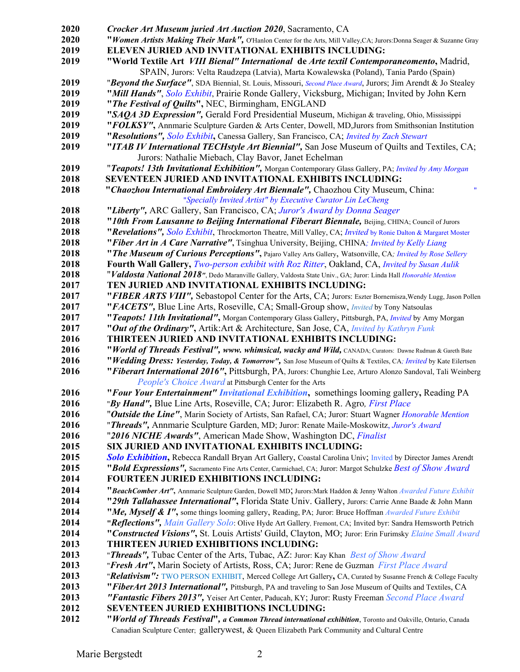| 2020 | Crocker Art Museum juried Art Auction 2020, Sacramento, CA                                                            |
|------|-----------------------------------------------------------------------------------------------------------------------|
| 2020 | "Women Artists Making Their Mark", O'Hanlon Center for the Arts, Mill Valley, CA; Jurors: Donna Seager & Suzanne Gray |
| 2019 | ELEVEN JURIED AND INVITATIONAL EXHIBITS INCLUDING:                                                                    |
| 2019 | "World Textile Art VIII Bienal" International de Arte textil Contemporaneomento, Madrid,                              |
|      | SPAIN, Jurors: Velta Raudzepa (Latvia), Marta Kowalewska (Poland), Tania Pardo (Spain)                                |
| 2019 | "Beyond the Surface", SDA Biennial, St. Louis, Missouri, Second Place Award, Jurors; Jim Arendt & Jo Stealey          |
| 2019 | "Mill Hands", Solo Exhibit, Prairie Ronde Gallery, Vicksburg, Michigan; Invited by John Kern                          |
| 2019 | "The Festival of Quilts", NEC, Birmingham, ENGLAND                                                                    |
| 2019 | "SAQA 3D Expression", Gerald Ford Presidential Museum, Michigan & traveling, Ohio, Mississippi                        |
| 2019 | "FOLKSY", Annmarie Sculpture Garden & Arts Center, Dowell, MD, Jurors from Smithsonian Institution                    |
| 2019 | "Resolutions", Solo Exhibit, Canessa Gallery, San Francisco, CA; Invited by Zach Stewart                              |
| 2019 | "ITAB IV International TECHstyle Art Biennial", San Jose Museum of Quilts and Textiles, CA;                           |
|      | Jurors: Nathalie Miebach, Clay Bavor, Janet Echelman                                                                  |
| 2019 | "Teapots! 13th Invitational Exhibition", Morgan Contemporary Glass Gallery, PA; Invited by Amy Morgan                 |
| 2018 | SEVENTEEN JURIED AND INVITATIONAL EXHIBITS INCLUDING:                                                                 |
| 2018 | "Chaozhou International Embroidery Art Biennale", Chaozhou City Museum, China:<br>Ħ                                   |
|      | "Specially Invited Artist" by Executive Curator Lin LeCheng                                                           |
| 2018 | "Liberty", ARC Gallery, San Francisco, CA; Juror's Award by Donna Seager                                              |
| 2018 | "10th From Lausanne to Beijing International Fiberart Biennale, Beijing, CHINA; Council of Jurors                     |
| 2018 | "Revelations", Solo Exhibit, Throckmorton Theatre, Mill Valley, CA; Invited by Ronie Dalton & Margaret Moster         |
| 2018 | "Fiber Art in A Care Narrative", Tsinghua University, Beijing, CHINA; Invited by Kelly Liang                          |
| 2018 | "The Museum of Curious Perceptions", Pajaro Valley Arts Gallery, Watsonville, CA; Invited by Rose Sellery             |
| 2018 | Fourth Wall Gallery, Two-person exhibit with Roz Ritter, Oakland, CA, Invited by Susan Aulik                          |
| 2018 | "Valdosta National 2018", Dedo Maranville Gallery, Valdosta State Univ., GA; Juror: Linda Hall Honorable Mention      |
| 2017 | TEN JURIED AND INVITATIONAL EXHIBITS INCLUDING:                                                                       |
| 2017 | "FIBER ARTS VIII", Sebastopol Center for the Arts, CA; Jurors: Eszter Bornemisza, Wendy Lugg, Jason Pollen            |
| 2017 | "FACETS", Blue Line Arts, Roseville, CA; Small-Group show, <i>Invited</i> by Tony Natsoulas                           |
| 2017 | "Teapots! 11th Invitational", Morgan Contemporary Glass Gallery, Pittsburgh, PA, Invited by Amy Morgan                |
| 2017 | "Out of the Ordinary", Artik: Art & Architecture, San Jose, CA, Invited by Kathryn Funk                               |
| 2016 | THIRTEEN JURIED AND INVITATIONAL EXHIBITS INCLUDING:                                                                  |
| 2016 | "World of Threads Festival", www. whimsical, wacky and Wild, CANADA; Curators: Dawne Rudman & Gareth Bate             |
| 2016 | "Wedding Dress: Yesterday, Today, & Tomorrow", San Jose Museum of Quilts & Textiles, CA; Invited by Kate Eilertsen    |
| 2016 | "Fiberart International 2016", Pittsburgh, PA, Jurors: Chunghie Lee, Arturo Alonzo Sandoval, Tali Weinberg            |
|      | People's Choice Award at Pittsburgh Center for the Arts                                                               |
| 2016 | "Four Your Entertainment" Invitational Exhibition, somethings looming gallery, Reading PA                             |
| 2016 | "By Hand", Blue Line Arts, Roseville, CA; Juror: Elizabeth R. Agro, First Place                                       |
| 2016 | "Outside the Line", Marin Society of Artists, San Rafael, CA; Juror: Stuart Wagner Honorable Mention                  |
| 2016 | "Threads", Annmarie Sculpture Garden, MD; Juror: Renate Maile-Moskowitz, Juror's Award                                |
| 2016 | "2016 NICHE Awards", American Made Show, Washington DC, Finalist                                                      |
| 2015 | SIX JURIED AND INVITATIONAL EXHIBITS INCLUDING:                                                                       |
| 2015 | Solo Exhibition, Rebecca Randall Bryan Art Gallery, Coastal Carolina Univ; Invited by Director James Arendt           |
| 2015 | "Bold Expressions", Sacramento Fine Arts Center, Carmichael, CA; Juror: Margot Schulzke Best of Show Award            |
| 2014 | <b>FOURTEEN JURIED EXHIBITIONS INCLUDING:</b>                                                                         |
| 2014 | "BeachComber Art", Annmarie Sculpture Garden, Dowell MD; Jurors:Mark Haddon & Jenny Walton Awarded Future Exhibit     |
| 2014 | "29th Tallahassee International", Florida State Univ. Gallery, Jurors: Carrie Anne Baade & John Mann                  |
| 2014 | "Me, Myself & I", some things looming gallery, Reading, PA; Juror: Bruce Hoffman Awarded Future Exhibit               |
| 2014 | "Reflections", Main Gallery Solo: Olive Hyde Art Gallery, Fremont, CA; Invited byr: Sandra Hemsworth Petrich          |
| 2014 | "Constructed Visions", St. Louis Artists' Guild, Clayton, MO; Juror: Erin Furimsky Elaine Small Award                 |
| 2013 | <b>THIRTEEN JURIED EXHIBITIONS INCLUDING:</b>                                                                         |
| 2013 | "Threads", Tubac Center of the Arts, Tubac, AZ: Juror: Kay Khan Best of Show Award                                    |
| 2013 | "Fresh Art", Marin Society of Artists, Ross, CA; Juror: Rene de Guzman First Place Award                              |
| 2013 | "Relativism": TWO PERSON EXHIBIT, Merced College Art Gallery, CA, Curated by Susanne French & College Faculty         |
| 2013 | "FiberArt 2013 International", Pittsburgh, PA and traveling to San Jose Museum of Quilts and Textiles, CA             |
| 2013 | "Fantastic Fibers 2013", Yeiser Art Center, Paducah, KY; Juror: Rusty Freeman Second Place Award                      |
| 2012 | <b>SEVENTEEN JURIED EXHIBITIONS INCLUDING:</b>                                                                        |
| 2012 | "World of Threads Festival", a Common Thread international exhibition, Toronto and Oakville, Ontario, Canada          |
|      | Canadian Sculpture Center; gallerywest, & Queen Elizabeth Park Community and Cultural Centre                          |
|      |                                                                                                                       |